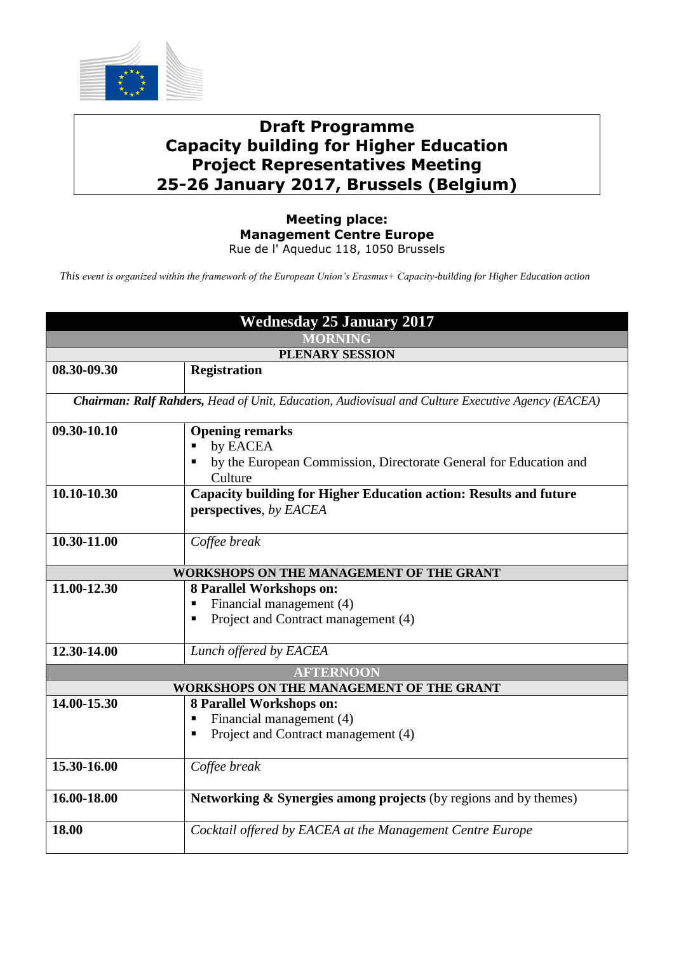

## **Draft Programme Capacity building for Higher Education Project Representatives Meeting 25-26 January 2017, Brussels (Belgium)**

## **Meeting place: Management Centre Europe** Rue de l' Aqueduc 118, 1050 Brussels

*This event is organized within the framework of the European Union's Erasmus+ Capacity-building for Higher Education action*

| <b>Wednesday 25 January 2017</b>                                                                  |                                                                                                         |  |
|---------------------------------------------------------------------------------------------------|---------------------------------------------------------------------------------------------------------|--|
| <b>MORNING</b>                                                                                    |                                                                                                         |  |
| PLENARY SESSION                                                                                   |                                                                                                         |  |
| 08.30-09.30                                                                                       | <b>Registration</b>                                                                                     |  |
| Chairman: Ralf Rahders, Head of Unit, Education, Audiovisual and Culture Executive Agency (EACEA) |                                                                                                         |  |
| 09.30-10.10                                                                                       | <b>Opening remarks</b><br>by EACEA<br>by the European Commission, Directorate General for Education and |  |
|                                                                                                   | Culture                                                                                                 |  |
| 10.10-10.30                                                                                       | Capacity building for Higher Education action: Results and future<br>perspectives, by EACEA             |  |
| 10.30-11.00                                                                                       | Coffee break                                                                                            |  |
| WORKSHOPS ON THE MANAGEMENT OF THE GRANT                                                          |                                                                                                         |  |
| 11.00-12.30                                                                                       | 8 Parallel Workshops on:                                                                                |  |
|                                                                                                   | Financial management (4)                                                                                |  |
|                                                                                                   | Project and Contract management (4)                                                                     |  |
| 12.30-14.00                                                                                       | Lunch offered by EACEA                                                                                  |  |
| <b>AFTERNOON</b>                                                                                  |                                                                                                         |  |
| WORKSHOPS ON THE MANAGEMENT OF THE GRANT                                                          |                                                                                                         |  |
| 14.00-15.30                                                                                       | 8 Parallel Workshops on:                                                                                |  |
|                                                                                                   | Financial management (4)                                                                                |  |
|                                                                                                   | Project and Contract management (4)                                                                     |  |
| 15.30-16.00                                                                                       | Coffee break                                                                                            |  |
| 16.00-18.00                                                                                       | Networking & Synergies among projects (by regions and by themes)                                        |  |
| 18.00                                                                                             | Cocktail offered by EACEA at the Management Centre Europe                                               |  |